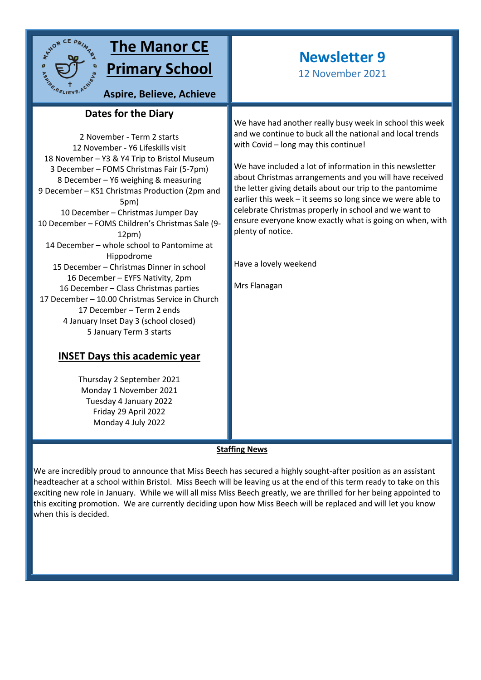

# **The Manor CE Primary School**

**Aspire, Believe, Achieve**

### **Dates for the Diary sky**

2 November - Term 2 starts 12 November - Y6 Lifeskills visit 18 November – Y3 & Y4 Trip to Bristol Museum 3 December – FOMS Christmas Fair (5-7pm) 8 December – Y6 weighing & measuring 9 December – KS1 Christmas Production (2pm and 5pm) 10 December – Christmas Jumper Day 10 December – FOMS Children's Christmas Sale (9- 12pm) 14 December – whole school to Pantomime at Hippodrome 15 December – Christmas Dinner in school 16 December – EYFS Nativity, 2pm 16 December – Class Christmas parties 17 December – 10.00 Christmas Service in Church 17 December – Term 2 ends 4 January Inset Day 3 (school closed) 5 January Term 3 starts

### **INSET Days this academic year**

Thursday 2 September 2021 Monday 1 November 2021 Tuesday 4 January 2022 Friday 29 April 2022 Monday 4 July 2022

## **Newsletter 9**

12 November 2021

We have had another really busy week in school this week and we continue to buck all the national and local trends with Covid – long may this continue!

We have included a lot of information in this newsletter about Christmas arrangements and you will have received the letter giving details about our trip to the pantomime earlier this week – it seems so long since we were able to celebrate Christmas properly in school and we want to ensure everyone know exactly what is going on when, with plenty of notice.

Have a lovely weekend

Mrs Flanagan

### **Staffing News**

We are incredibly proud to announce that Miss Beech has secured a highly sought-after position as an assistant headteacher at a school within Bristol. Miss Beech will be leaving us at the end of this term ready to take on this exciting new role in January. While we will all miss Miss Beech greatly, we are thrilled for her being appointed to this exciting promotion. We are currently deciding upon how Miss Beech will be replaced and will let you know when this is decided.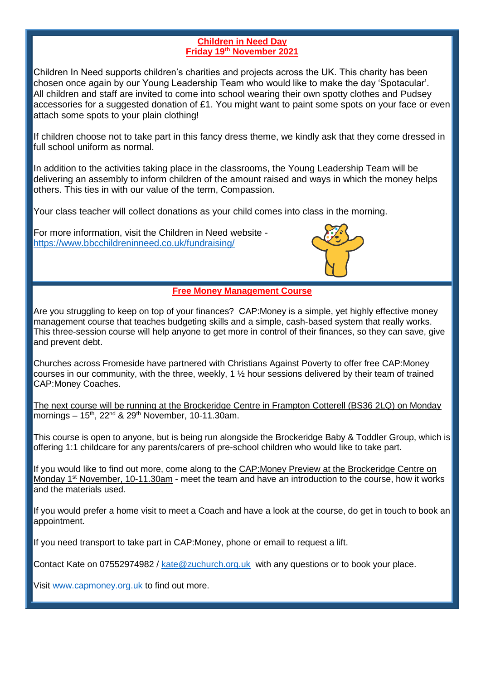### **Children in Need Day Friday 19th November 2021**

Children In Need supports children's charities and projects across the UK. This charity has been chosen once again by our Young Leadership Team who would like to make the day 'Spotacular'. All children and staff are invited to come into school wearing their own spotty clothes and Pudsey accessories for a suggested donation of £1. You might want to paint some spots on your face or even attach some spots to your plain clothing!

If children choose not to take part in this fancy dress theme, we kindly ask that they come dressed in full school uniform as normal.

In addition to the activities taking place in the classrooms, the Young Leadership Team will be delivering an assembly to inform children of the amount raised and ways in which the money helps others. This ties in with our value of the term, Compassion.

Your class teacher will collect donations as your child comes into class in the morning.

For more information, visit the Children in Need website <https://www.bbcchildreninneed.co.uk/fundraising/>



**Free Money Management Course**

Are you struggling to keep on top of your finances? CAP:Money is a simple, yet highly effective money management course that teaches budgeting skills and a simple, cash-based system that really works. This three-session course will help anyone to get more in control of their finances, so they can save, give and prevent debt.

Churches across Fromeside have partnered with Christians Against Poverty to offer free CAP:Money courses in our community, with the three, weekly, 1  $\frac{1}{2}$  hour sessions delivered by their team of trained CAP:Money Coaches.

The next course will be running at the Brockeridge Centre in Frampton Cotterell (BS36 2LQ) on Monday mornings –  $15^{th}$ , 22<sup>nd</sup> & 29<sup>th</sup> November, 10-11.30am.

This course is open to anyone, but is being run alongside the Brockeridge Baby & Toddler Group, which is offering 1:1 childcare for any parents/carers of pre-school children who would like to take part.

If you would like to find out more, come along to the CAP:Money Preview at the Brockeridge Centre on Monday 1<sup>st</sup> November, 10-11.30am - meet the team and have an introduction to the course, how it works and the materials used.

If you would prefer a home visit to meet a Coach and have a look at the course, do get in touch to book an appointment.

If you need transport to take part in CAP:Money, phone or email to request a lift.

Contact Kate on 07552974982 / [kate@zuchurch.org.uk](mailto:kate@zuchurch.org.uk) with any questions or to book your place.

Visit [www.capmoney.org.uk](http://www.capmoney.org.uk/) to find out more.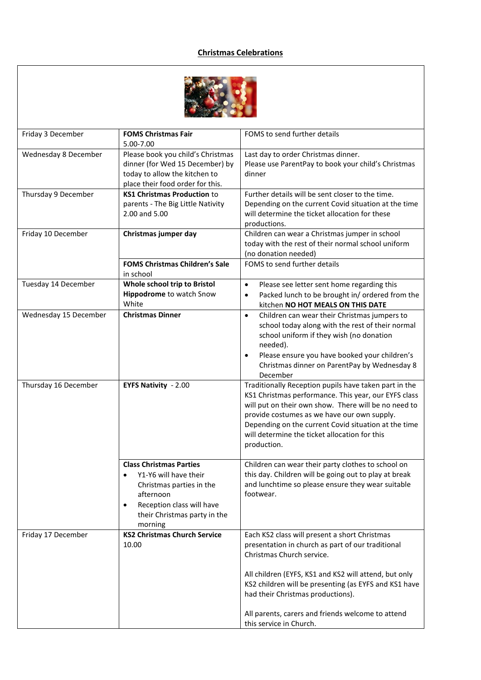### **Christmas Celebrations**



| Friday 3 December     | <b>FOMS Christmas Fair</b><br>5.00-7.00                                                                                                                                               | FOMS to send further details                                                                                                                                                                                                                                                                                                                 |
|-----------------------|---------------------------------------------------------------------------------------------------------------------------------------------------------------------------------------|----------------------------------------------------------------------------------------------------------------------------------------------------------------------------------------------------------------------------------------------------------------------------------------------------------------------------------------------|
| Wednesday 8 December  | Please book you child's Christmas<br>dinner (for Wed 15 December) by<br>today to allow the kitchen to<br>place their food order for this.                                             | Last day to order Christmas dinner.<br>Please use ParentPay to book your child's Christmas<br>dinner                                                                                                                                                                                                                                         |
| Thursday 9 December   | <b>KS1 Christmas Production to</b><br>parents - The Big Little Nativity<br>2.00 and 5.00                                                                                              | Further details will be sent closer to the time.<br>Depending on the current Covid situation at the time<br>will determine the ticket allocation for these<br>productions.                                                                                                                                                                   |
| Friday 10 December    | Christmas jumper day                                                                                                                                                                  | Children can wear a Christmas jumper in school<br>today with the rest of their normal school uniform<br>(no donation needed)                                                                                                                                                                                                                 |
|                       | <b>FOMS Christmas Children's Sale</b><br>in school                                                                                                                                    | FOMS to send further details                                                                                                                                                                                                                                                                                                                 |
| Tuesday 14 December   | Whole school trip to Bristol<br>Hippodrome to watch Snow<br>White                                                                                                                     | Please see letter sent home regarding this<br>$\bullet$<br>Packed lunch to be brought in/ordered from the<br>$\bullet$<br>kitchen NO HOT MEALS ON THIS DATE                                                                                                                                                                                  |
| Wednesday 15 December | <b>Christmas Dinner</b>                                                                                                                                                               | Children can wear their Christmas jumpers to<br>$\bullet$<br>school today along with the rest of their normal<br>school uniform if they wish (no donation<br>needed).<br>Please ensure you have booked your children's<br>$\bullet$<br>Christmas dinner on ParentPay by Wednesday 8<br>December                                              |
| Thursday 16 December  | EYFS Nativity - 2.00                                                                                                                                                                  | Traditionally Reception pupils have taken part in the<br>KS1 Christmas performance. This year, our EYFS class<br>will put on their own show. There will be no need to<br>provide costumes as we have our own supply.<br>Depending on the current Covid situation at the time<br>will determine the ticket allocation for this<br>production. |
|                       | <b>Class Christmas Parties</b><br>Y1-Y6 will have their<br>Christmas parties in the<br>afternoon<br>Reception class will have<br>$\bullet$<br>their Christmas party in the<br>morning | Children can wear their party clothes to school on<br>this day. Children will be going out to play at break<br>and lunchtime so please ensure they wear suitable<br>footwear.                                                                                                                                                                |
| Friday 17 December    | <b>KS2 Christmas Church Service</b><br>10.00                                                                                                                                          | Each KS2 class will present a short Christmas<br>presentation in church as part of our traditional<br>Christmas Church service.<br>All children (EYFS, KS1 and KS2 will attend, but only                                                                                                                                                     |
|                       |                                                                                                                                                                                       | KS2 children will be presenting (as EYFS and KS1 have<br>had their Christmas productions).<br>All parents, carers and friends welcome to attend<br>this service in Church.                                                                                                                                                                   |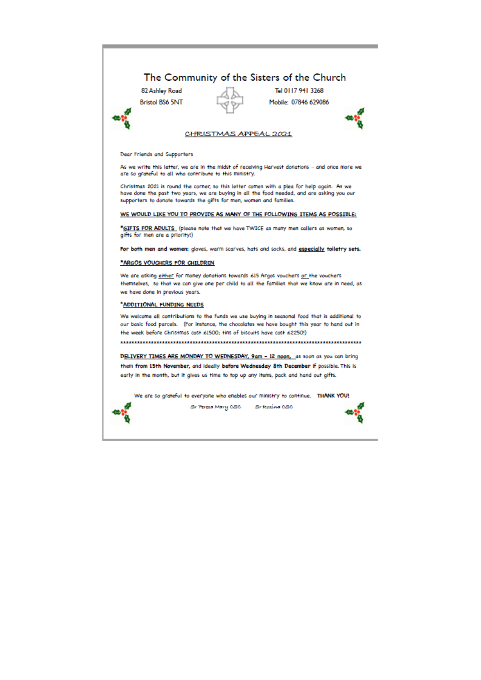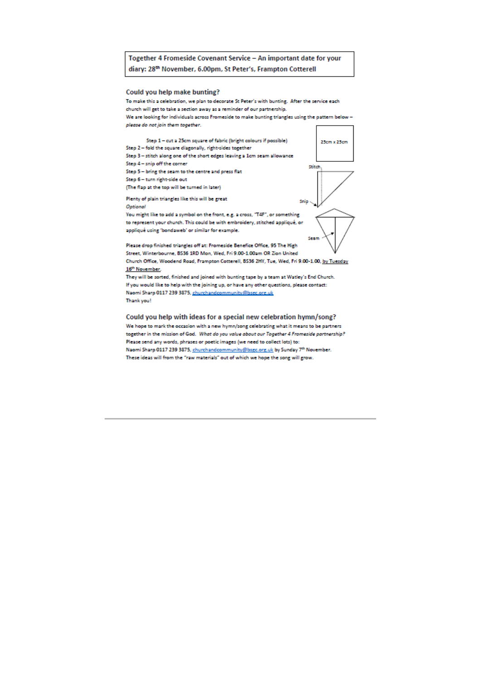#### Together 4 Fromeside Covenant Service - An important date for your diary: 28th November, 6.00pm, St Peter's, Frampton Cotterell

#### Could you help make bunting?

To make this a celebration, we plan to decorate St Peter's with bunting. After the service each church will get to take a section away as a reminder of our partnership. We are looking for individuals across Fromeside to make bunting triangles using the pattern below please do not join them together.



Please drop finished triangles off at: Fromeside Benefice Office, 95 The High Street, Winterbourne, BS36 1RD Mon, Wed, Fri 9.00-1.00am OR Zion United Church Office, Woodend Road, Frampton Cotterell, BS36 2HY, Tue, Wed, Fri 9.00-1.00, by Tuesday 16<sup>th</sup> November.

They will be sorted, finished and joined with bunting tape by a team at Watley's End Church. If you would like to help with the joining up, or have any other questions, please contact: Naomi Sharp 0117 239 3875, churchandcommunity@bsec.ore.uk Thank you!

#### Could you help with ideas for a special new celebration hymn/song?

We hope to mark the occasion with a new hymn/song celebrating what it means to be partners together in the mission of God. What do you value about our Together 4 Fromeside partnership? Please send any words, phrases or poetic images (we need to collect lots) to: Naomi Sharp 0117 239 3875, churchandcommunity@bsgc.org.uk by Sunday 7th November. These ideas will from the "raw materials" out of which we hope the song will grow.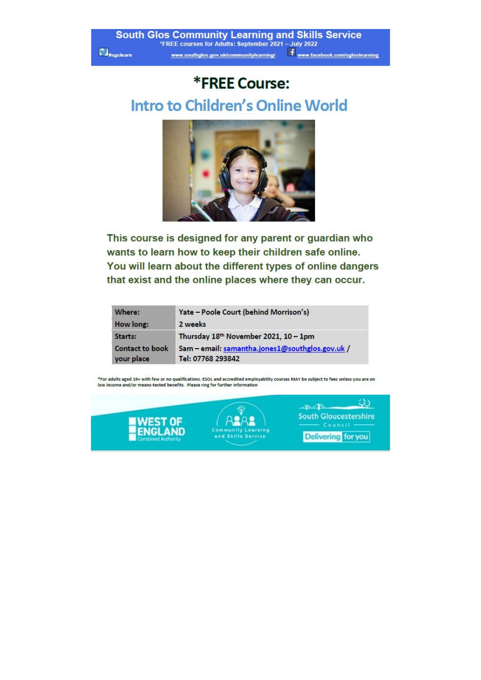# \*FREE Course: Intro to Children's Online World



This course is designed for any parent or guardian who wants to learn how to keep their children safe online. You will learn about the different types of online dangers that exist and the online places where they can occur.

| Where:                        | Yate - Poole Court (behind Morrison's)                               |  |
|-------------------------------|----------------------------------------------------------------------|--|
| How long:                     | 2 weeks                                                              |  |
| Starts:                       | Thursday 18th November 2021, 10 - 1pm                                |  |
| Contact to book<br>your place | Sam - email: samantha.jones1@southglos.gov.uk /<br>Tel: 07768 293842 |  |

\*For adults aged 19+ with few or no qualifications. ESOL and accredited employability courses MAY be subject to fees unless you are on low income and/or means-tested benefits. Please ring for further information